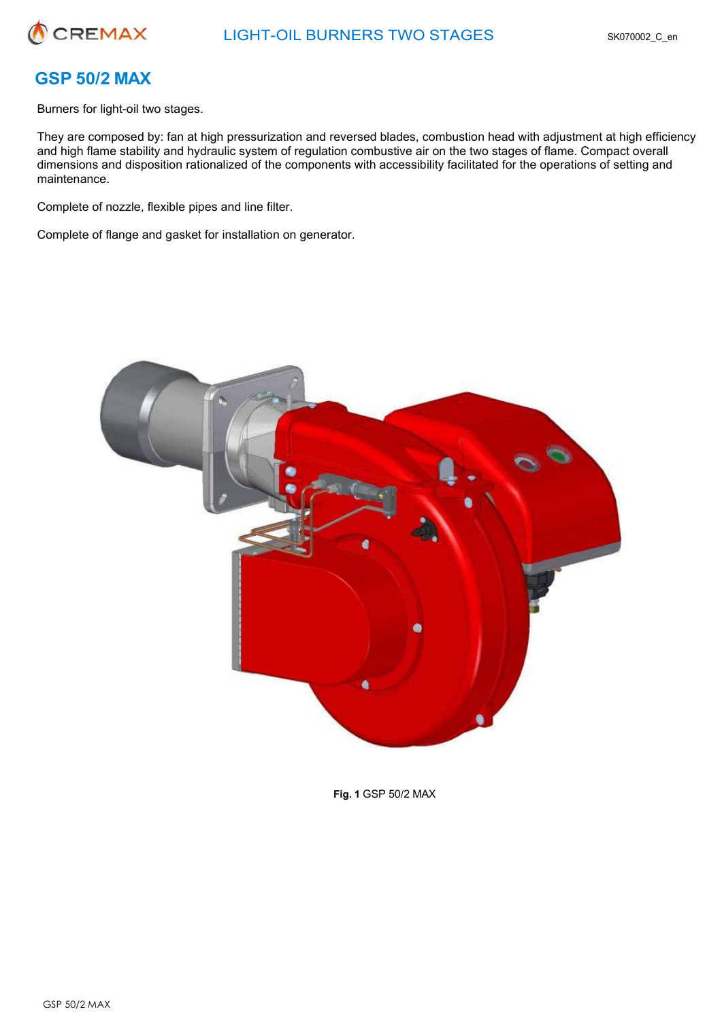

# **GSP 50/2 MAX**

Burners for light-oil two stages.

They are composed by: fan at high pressurization and reversed blades, combustion head with adjustment at high efficiency and high flame stability and hydraulic system of regulation combustive air on the two stages of flame. Compact overall dimensions and disposition rationalized of the components with accessibility facilitated for the operations of setting and maintenance.

Complete of nozzle, flexible pipes and line filter.

Complete of flange and gasket for installation on generator.



**Fig. 1** GSP 50/2 MAX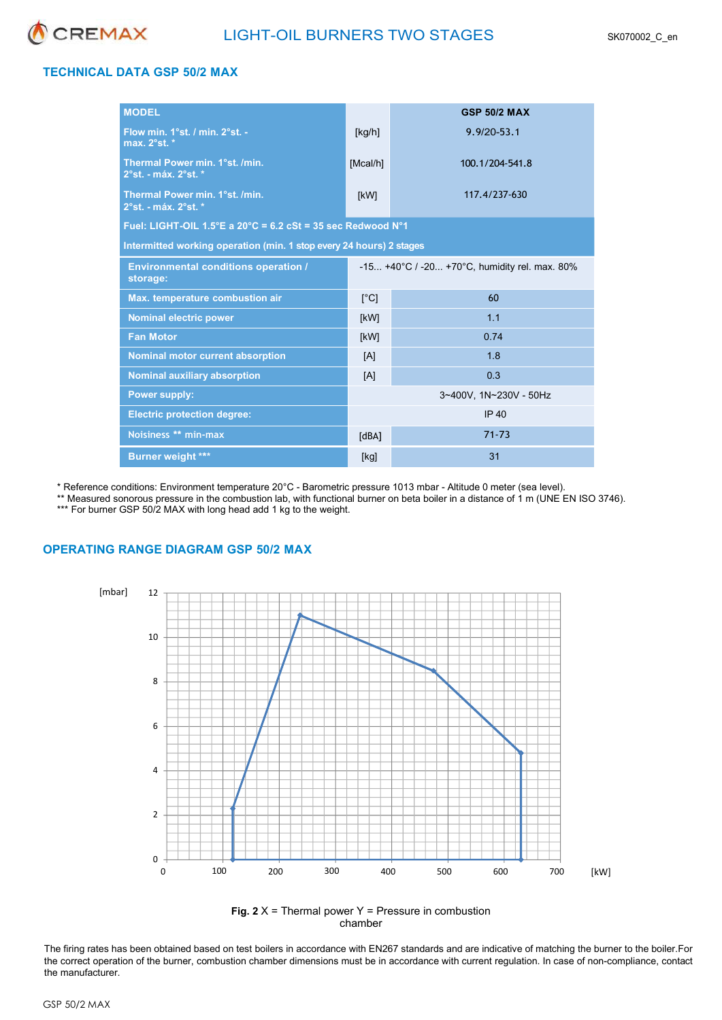

## **TECHNICAL DATA GSP 50/2 MAX**

| <b>MODEL</b>                                                                     |                                               | <b>GSP 50/2 MAX</b> |  |  |  |  |
|----------------------------------------------------------------------------------|-----------------------------------------------|---------------------|--|--|--|--|
| Flow min. 1°st. / min. 2°st. -<br>max. 2°st. *                                   | [kg/h]                                        | $9.9/20 - 53.1$     |  |  |  |  |
| Thermal Power min. 1°st. /min.<br>2°st. - máx. 2°st. *                           | [Meal/h]                                      | 100.1/204-541.8     |  |  |  |  |
| Thermal Power min. 1°st. /min.<br>2°st. - máx. 2°st. *                           | [kW]                                          | 117.4/237-630       |  |  |  |  |
| Fuel: LIGHT-OIL $1.5^{\circ}$ E a 20 $^{\circ}$ C = 6.2 cSt = 35 sec Redwood N°1 |                                               |                     |  |  |  |  |
| Intermitted working operation (min. 1 stop every 24 hours) 2 stages              |                                               |                     |  |  |  |  |
| <b>Environmental conditions operation /</b><br>storage:                          | -15 +40°C / -20 +70°C, humidity rel. max. 80% |                     |  |  |  |  |
| Max. temperature combustion air                                                  | [°C]                                          | 60                  |  |  |  |  |
| <b>Nominal electric power</b>                                                    | [kW]                                          | 1.1                 |  |  |  |  |
| <b>Fan Motor</b>                                                                 | [kW]                                          | 0.74                |  |  |  |  |
| <b>Nominal motor current absorption</b>                                          | [A]                                           | 1.8                 |  |  |  |  |
| <b>Nominal auxiliary absorption</b>                                              | 0.3<br>[A]                                    |                     |  |  |  |  |
| <b>Power supply:</b>                                                             | 3~400V, 1N~230V - 50Hz                        |                     |  |  |  |  |
| <b>Electric protection degree:</b>                                               |                                               | <b>IP 40</b>        |  |  |  |  |
| Noisiness ** min-max                                                             | [dBA]                                         | $71 - 73$           |  |  |  |  |
| <b>Burner weight ***</b>                                                         | [kg]                                          | 31                  |  |  |  |  |

\* Reference conditions: Environment temperature 20°C - Barometric pressure 1013 mbar - Altitude 0 meter (sea level).

\*\* Measured sonorous pressure in the combustion lab, with functional burner on beta boiler in a distance of 1 m (UNE EN ISO 3746). \*\*\* For burner GSP 50/2 MAX with long head add 1 kg to the weight.

## **OPERATING RANGE DIAGRAM GSP 50/2 MAX**



**Fig. 2** X = Thermal power Y = Pressure in combustion chamber

The firing rates has been obtained based on test boilers in accordance with EN267 standards and are indicative of matching the burner to the boiler. For the correct operation of the burner, combustion chamber dimensions must be in accordance with current regulation. In case of non-compliance, contact the manufacturer.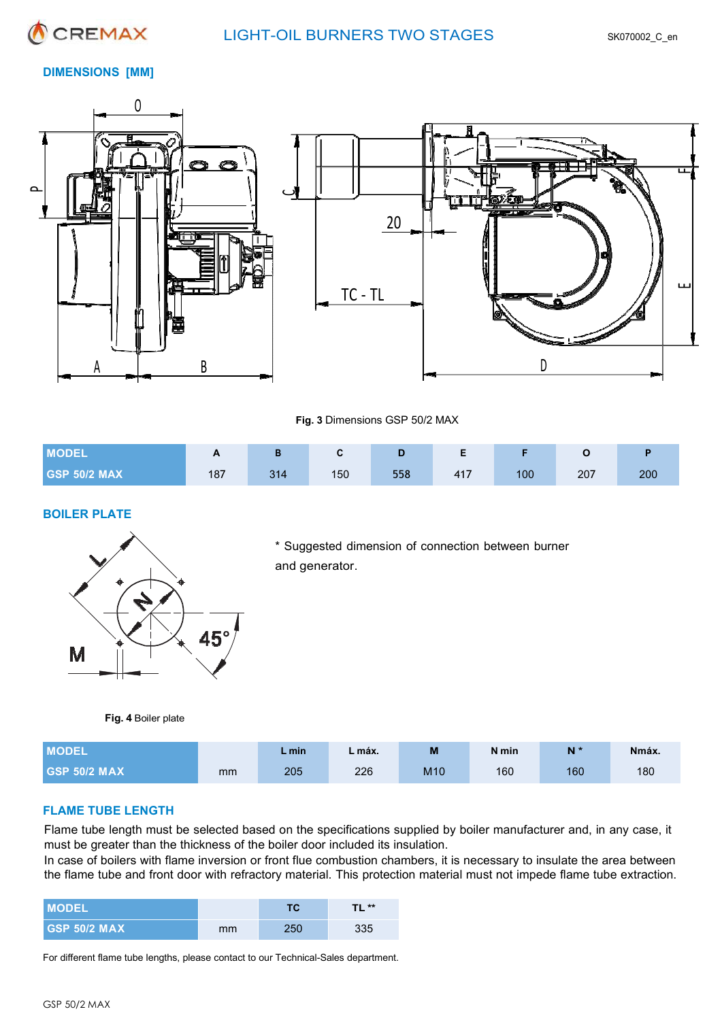

## **DIMENSIONS [MM]**





**Fig. 3** Dimensions GSP 50/2 MAX

| <b>MODEL</b>        | $\overline{ }$ |     |     | ு   |     |     |     |     |
|---------------------|----------------|-----|-----|-----|-----|-----|-----|-----|
| <b>GSP 50/2 MAX</b> | 187            | 314 | 150 | 558 | 417 | 100 | 207 | 200 |

## **BOILER PLATE**



\* Suggested dimension of connection between burner and generator.

 **Fig. 4** Boiler plate

| <b>MODEL</b>        |    | – min | . máx. | M               | N min | N*  | Nmáx. |
|---------------------|----|-------|--------|-----------------|-------|-----|-------|
| <b>GSP 50/2 MAX</b> | mm | 205   | 226    | M <sub>10</sub> | 160   | 160 | 180   |

## **FLAME TUBE LENGTH**

Flame tube length must be selected based on the specifications supplied by boiler manufacturer and, in any case, it must be greater than the thickness of the boiler door included its insulation.

In case of boilers with flame inversion or front flue combustion chambers, it is necessary to insulate the area between the flame tube and front door with refractory material. This protection material must not impede flame tube extraction.

| <b>I MODEL</b>      |    | тс  | <b>TL **</b> |
|---------------------|----|-----|--------------|
| <b>GSP 50/2 MAX</b> | mm | 250 | 335          |

For different flame tube lengths, please contact to our Technical-Sales department.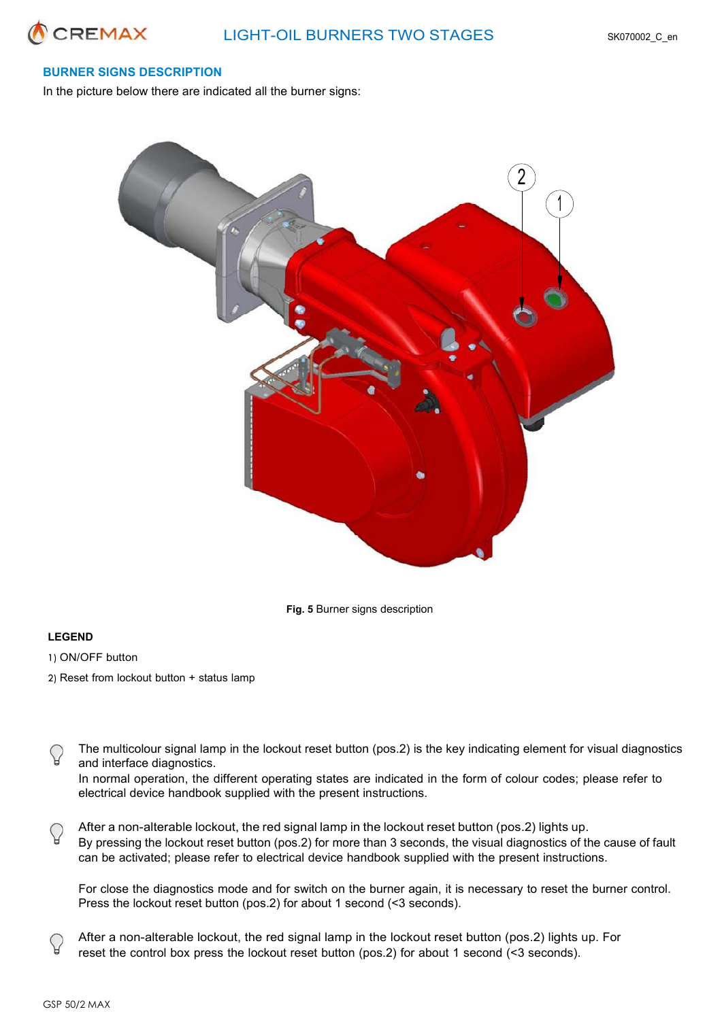

## **BURNER SIGNS DESCRIPTION**

In the picture below there are indicated all the burner signs:



**Fig. 5** Burner signs description

#### **LEGEND**

- 1) ON/OFF button
- 2) Reset from lockout button + status lamp
- The multicolour signal lamp in the lockout reset button (pos.2) is the key indicating element for visual diagnostics and interface diagnostics.
	- In normal operation, the different operating states are indicated in the form of colour codes; please refer to electrical device handbook supplied with the present instructions.
- After a non-alterable lockout, the red signal lamp in the lockout reset button (pos.2) lights up. By pressing the lockout reset button (pos.2) for more than 3 seconds, the visual diagnostics of the cause of fault can be activated; please refer to electrical device handbook supplied with the present instructions.

For close the diagnostics mode and for switch on the burner again, it is necessary to reset the burner control. Press the lockout reset button (pos.2) for about 1 second (<3 seconds).

After a non-alterable lockout, the red signal lamp in the lockout reset button (pos.2) lights up. For reset the control box press the lockout reset button (pos.2) for about 1 second (<3 seconds).